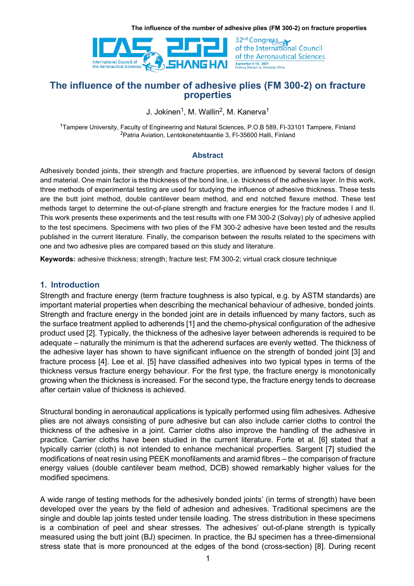

32<sup>nd</sup> Congress<br>of the International Council of the Aeronautical Sciences September 6-10, 2021<br>Pudong Shangri-La, Shanghai, China

# The influence of the number of adhesive plies (FM 300-2) on fracture properties

J. Jokinen<sup>1</sup>, M. Wallin<sup>2</sup>, M. Kanerva<sup>1</sup>

<sup>1</sup>Tampere University, Faculty of Engineering and Natural Sciences, P.O.B 589. FI-33101 Tampere. Finland <sup>2</sup>Patria Aviation, Lentokonetehtaantie 3, FI-35600 Halli, Finland

#### Abstract

Adhesively bonded joints, their strength and fracture properties, are influenced by several factors of design and material. One main factor is the thickness of the bond line, i.e. thickness of the adhesive layer. In this work, three methods of experimental testing are used for studying the influence of adhesive thickness. These tests are the butt joint method, double cantilever beam method, and end notched flexure method. These test methods target to determine the out-of-plane strength and fracture energies for the fracture modes I and II. This work presents these experiments and the test results with one FM 300-2 (Solvay) ply of adhesive applied to the test specimens. Specimens with two plies of the FM 300-2 adhesive have been tested and the results published in the current literature. Finally, the comparison between the results related to the specimens with one and two adhesive plies are compared based on this study and literature.

Keywords: adhesive thickness; strength; fracture test; FM 300-2; virtual crack closure technique

#### 1. Introduction

Strength and fracture energy (term fracture toughness is also typical, e.g. by ASTM standards) are important material properties when describing the mechanical behaviour of adhesive, bonded joints. Strength and fracture energy in the bonded joint are in details influenced by many factors, such as the surface treatment applied to adherends [1] and the chemo-physical configuration of the adhesive product used [2]. Typically, the thickness of the adhesive layer between adherends is required to be adequate – naturally the minimum is that the adherend surfaces are evenly wetted. The thickness of the adhesive layer has shown to have significant influence on the strength of bonded joint [3] and fracture process [4]. Lee et al. [5] have classified adhesives into two typical types in terms of the thickness versus fracture energy behaviour. For the first type, the fracture energy is monotonically growing when the thickness is increased. For the second type, the fracture energy tends to decrease after certain value of thickness is achieved.

Structural bonding in aeronautical applications is typically performed using film adhesives. Adhesive plies are not always consisting of pure adhesive but can also include carrier cloths to control the thickness of the adhesive in a joint. Carrier cloths also improve the handling of the adhesive in practice. Carrier cloths have been studied in the current literature. Forte et al. [6] stated that a typically carrier (cloth) is not intended to enhance mechanical properties. Sargent [7] studied the modifications of neat resin using PEEK monofilaments and aramid fibres – the comparison of fracture energy values (double cantilever beam method, DCB) showed remarkably higher values for the modified specimens.

A wide range of testing methods for the adhesively bonded joints' (in terms of strength) have been developed over the years by the field of adhesion and adhesives. Traditional specimens are the single and double lap joints tested under tensile loading. The stress distribution in these specimens is a combination of peel and shear stresses. The adhesives' out-of-plane strength is typically measured using the butt joint (BJ) specimen. In practice, the BJ specimen has a three-dimensional stress state that is more pronounced at the edges of the bond (cross-section) [8]. During recent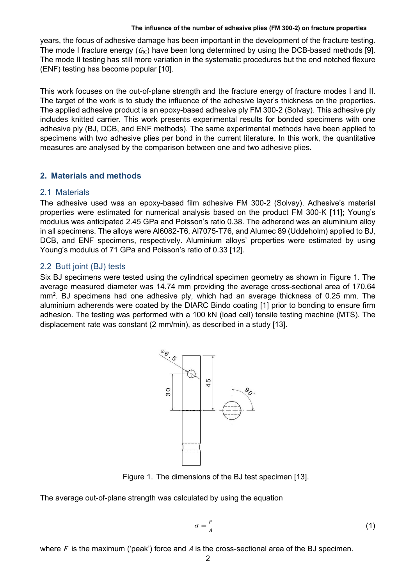years, the focus of adhesive damage has been important in the development of the fracture testing. The mode I fracture energy  $(G<sub>C</sub>)$  have been long determined by using the DCB-based methods [9]. The mode II testing has still more variation in the systematic procedures but the end notched flexure (ENF) testing has become popular [10].

This work focuses on the out-of-plane strength and the fracture energy of fracture modes I and II. The target of the work is to study the influence of the adhesive layer's thickness on the properties. The applied adhesive product is an epoxy-based adhesive ply FM 300-2 (Solvay). This adhesive ply includes knitted carrier. This work presents experimental results for bonded specimens with one adhesive ply (BJ, DCB, and ENF methods). The same experimental methods have been applied to specimens with two adhesive plies per bond in the current literature. In this work, the quantitative measures are analysed by the comparison between one and two adhesive plies.

# 2. Materials and methods

### 2.1 Materials

The adhesive used was an epoxy-based film adhesive FM 300-2 (Solvay). Adhesive's material properties were estimated for numerical analysis based on the product FM 300-K [11]; Young's modulus was anticipated 2.45 GPa and Poisson's ratio 0.38. The adherend was an aluminium alloy in all specimens. The alloys were Al6082-T6, Al7075-T76, and Alumec 89 (Uddeholm) applied to BJ, DCB, and ENF specimens, respectively. Aluminium alloys' properties were estimated by using Young's modulus of 71 GPa and Poisson's ratio of 0.33 [12].

### 2.2 Butt joint (BJ) tests

Six BJ specimens were tested using the cylindrical specimen geometry as shown in Figure 1. The average measured diameter was 14.74 mm providing the average cross-sectional area of 170.64 mm<sup>2</sup>. BJ specimens had one adhesive ply, which had an average thickness of 0.25 mm. The aluminium adherends were coated by the DIARC Bindo coating [1] prior to bonding to ensure firm adhesion. The testing was performed with a 100 kN (load cell) tensile testing machine (MTS). The displacement rate was constant (2 mm/min), as described in a study [13].



Figure 1. The dimensions of the BJ test specimen [13].

The average out-of-plane strength was calculated by using the equation

$$
\sigma = \frac{F}{A} \tag{1}
$$

where  $F$  is the maximum ('peak') force and  $A$  is the cross-sectional area of the BJ specimen.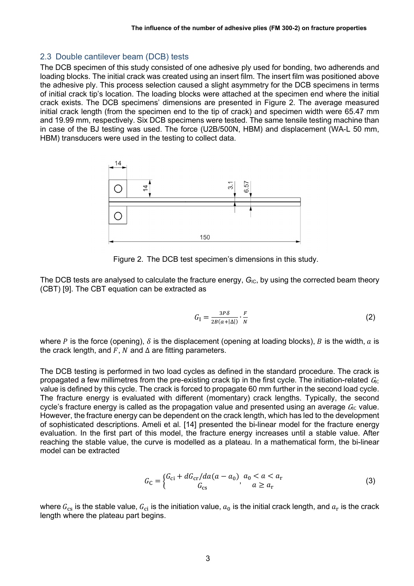## 2.3 Double cantilever beam (DCB) tests

The DCB specimen of this study consisted of one adhesive ply used for bonding, two adherends and loading blocks. The initial crack was created using an insert film. The insert film was positioned above the adhesive ply. This process selection caused a slight asymmetry for the DCB specimens in terms of initial crack tip's location. The loading blocks were attached at the specimen end where the initial crack exists. The DCB specimens' dimensions are presented in Figure 2. The average measured initial crack length (from the specimen end to the tip of crack) and specimen width were 65.47 mm and 19.99 mm, respectively. Six DCB specimens were tested. The same tensile testing machine than in case of the BJ testing was used. The force (U2B/500N, HBM) and displacement (WA-L 50 mm, HBM) transducers were used in the testing to collect data.



Figure 2. The DCB test specimen's dimensions in this study.

The DCB tests are analysed to calculate the fracture energy,  $G_{IC}$ , by using the corrected beam theory (CBT) [9]. The CBT equation can be extracted as

$$
G_{\rm I} = \frac{3P\delta}{2B(a+|\Delta|)} \cdot \frac{F}{N} \tag{2}
$$

where P is the force (opening),  $\delta$  is the displacement (opening at loading blocks), B is the width, a is the crack length, and  $F$ .  $N$  and  $\Delta$  are fitting parameters.

The DCB testing is performed in two load cycles as defined in the standard procedure. The crack is propagated a few millimetres from the pre-existing crack tip in the first cycle. The initiation-related  $G<sub>IC</sub>$ value is defined by this cycle. The crack is forced to propagate 60 mm further in the second load cycle. The fracture energy is evaluated with different (momentary) crack lengths. Typically, the second cycle's fracture energy is called as the propagation value and presented using an average  $G<sub>IC</sub>$  value. However, the fracture energy can be dependent on the crack length, which has led to the development of sophisticated descriptions. Ameli et al. [14] presented the bi-linear model for the fracture energy evaluation. In the first part of this model, the fracture energy increases until a stable value. After reaching the stable value, the curve is modelled as a plateau. In a mathematical form, the bi-linear model can be extracted

$$
G_{\rm C} = \begin{cases} G_{\rm ci} + dG_{\rm cr}/da(a - a_0) & a_0 < a < a_{\rm r} \\ G_{\rm cs} & a \ge a_{\rm r} \end{cases} \tag{3}
$$

where  $G_{\rm cs}$  is the stable value,  $G_{\rm ci}$  is the initiation value,  $a_0$  is the initial crack length, and  $a_{\rm r}$  is the crack length where the plateau part begins.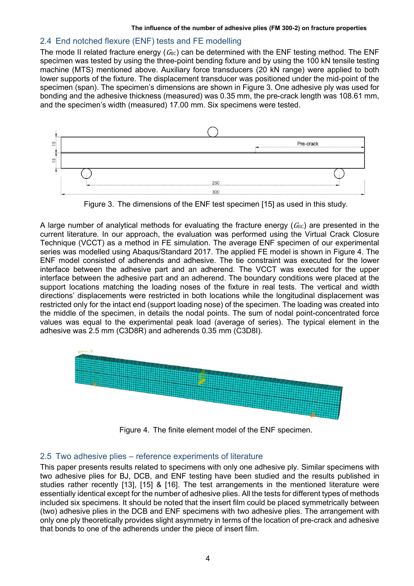## 2.4 End notched flexure (ENF) tests and FE modelling

The mode II related fracture energy  $(G_{\text{HC}})$  can be determined with the ENF testing method. The ENF specimen was tested by using the three-point bending fixture and by using the 100 kN tensile testing machine (MTS) mentioned above. Auxiliary force transducers (20 kN range) were applied to both lower supports of the fixture. The displacement transducer was positioned under the mid-point of the specimen (span). The specimen's dimensions are shown in Figure 3. One adhesive ply was used for bonding and the adhesive thickness (measured) was 0.35 mm, the pre-crack length was 108.61 mm, and the specimen's width (measured) 17.00 mm. Six specimens were tested.



Figure 3. The dimensions of the ENF test specimen [15] as used in this study.

A large number of analytical methods for evaluating the fracture energy  $(G_{\text{HC}})$  are presented in the current literature. In our approach, the evaluation was performed using the Virtual Crack Closure Technique (VCCT) as a method in FE simulation. The average ENF specimen of our experimental series was modelled using Abaqus/Standard 2017. The applied FE model is shown in Figure 4. The ENF model consisted of adherends and adhesive. The tie constraint was executed for the lower interface between the adhesive part and an adherend. The VCCT was executed for the upper interface between the adhesive part and an adherend. The boundary conditions were placed at the support locations matching the loading noses of the fixture in real tests. The vertical and width directions' displacements were restricted in both locations while the longitudinal displacement was restricted only for the intact end (support loading nose) of the specimen. The loading was created into the middle of the specimen, in details the nodal points. The sum of nodal point-concentrated force values was equal to the experimental peak load (average of series). The typical element in the adhesive was 2.5 mm (C3D8R) and adherends 0.35 mm (C3D8I).



Figure 4. The finite element model of the ENF specimen.

### 2.5 Two adhesive plies – reference experiments of literature

This paper presents results related to specimens with only one adhesive ply. Similar specimens with two adhesive plies for BJ, DCB, and ENF testing have been studied and the results published in studies rather recently [13], [15] & [16]. The test arrangements in the mentioned literature were essentially identical except for the number of adhesive plies. All the tests for different types of methods included six specimens. It should be noted that the insert film could be placed symmetrically between (two) adhesive plies in the DCB and ENF specimens with two adhesive plies. The arrangement with only one ply theoretically provides slight asymmetry in terms of the location of pre-crack and adhesive that bonds to one of the adherends under the piece of insert film.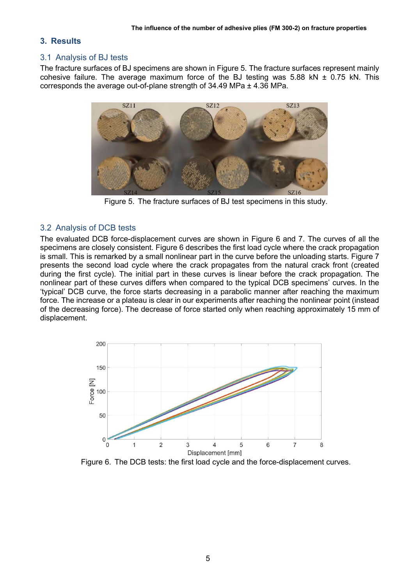## 3. Results

#### 3.1 Analysis of BJ tests

The fracture surfaces of BJ specimens are shown in Figure 5. The fracture surfaces represent mainly cohesive failure. The average maximum force of the BJ testing was 5.88 kN  $\pm$  0.75 kN. This corresponds the average out-of-plane strength of 34.49 MPa ± 4.36 MPa.



Figure 5. The fracture surfaces of BJ test specimens in this study.

### 3.2 Analysis of DCB tests

The evaluated DCB force-displacement curves are shown in Figure 6 and 7. The curves of all the specimens are closely consistent. Figure 6 describes the first load cycle where the crack propagation is small. This is remarked by a small nonlinear part in the curve before the unloading starts. Figure 7 presents the second load cycle where the crack propagates from the natural crack front (created during the first cycle). The initial part in these curves is linear before the crack propagation. The nonlinear part of these curves differs when compared to the typical DCB specimens' curves. In the 'typical' DCB curve, the force starts decreasing in a parabolic manner after reaching the maximum force. The increase or a plateau is clear in our experiments after reaching the nonlinear point (instead of the decreasing force). The decrease of force started only when reaching approximately 15 mm of displacement.



Figure 6. The DCB tests: the first load cycle and the force-displacement curves.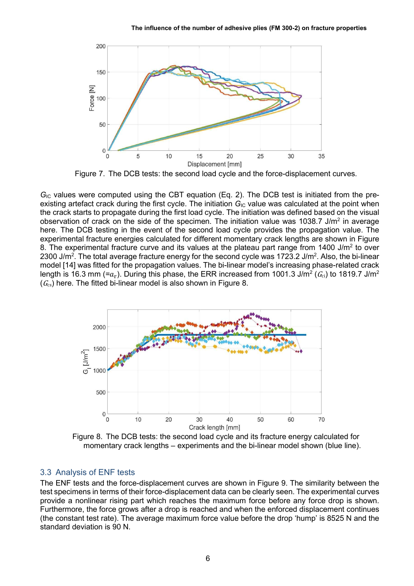

Figure 7. The DCB tests: the second load cycle and the force-displacement curves.

 $G_{\text{IC}}$  values were computed using the CBT equation (Eq. 2). The DCB test is initiated from the preexisting artefact crack during the first cycle. The initiation  $G_{\text{IC}}$  value was calculated at the point when the crack starts to propagate during the first load cycle. The initiation was defined based on the visual observation of crack on the side of the specimen. The initiation value was 1038.7 J/m<sup>2</sup> in average here. The DCB testing in the event of the second load cycle provides the propagation value. The experimental fracture energies calculated for different momentary crack lengths are shown in Figure 8. The experimental fracture curve and its values at the plateau part range from 1400 J/m<sup>2</sup> to over 2300 J/m<sup>2</sup>. The total average fracture energy for the second cycle was 1723.2 J/m<sup>2</sup>. Also, the bi-linear model [14] was fitted for the propagation values. The bi-linear model's increasing phase-related crack length is 16.3 mm (= $a_{\rm r}$ ). During this phase, the ERR increased from 1001.3 J/m² ( $\mathit{G}_{\text{ci}}$ ) to 1819.7 J/m²  $(G<sub>cs</sub>)$  here. The fitted bi-linear model is also shown in Figure 8.



Figure 8. The DCB tests: the second load cycle and its fracture energy calculated for momentary crack lengths – experiments and the bi-linear model shown (blue line).

### 3.3 Analysis of ENF tests

The ENF tests and the force-displacement curves are shown in Figure 9. The similarity between the test specimens in terms of their force-displacement data can be clearly seen. The experimental curves provide a nonlinear rising part which reaches the maximum force before any force drop is shown. Furthermore, the force grows after a drop is reached and when the enforced displacement continues (the constant test rate). The average maximum force value before the drop 'hump' is 8525 N and the standard deviation is 90 N.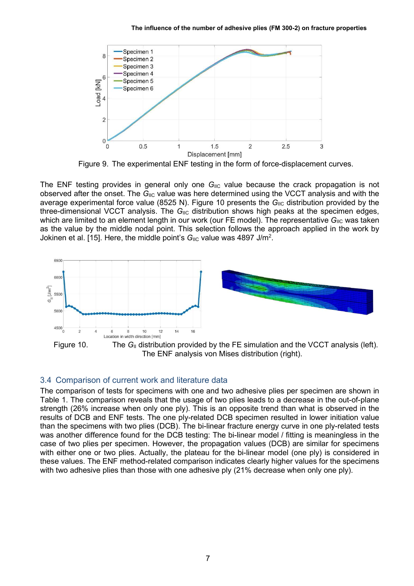

Figure 9. The experimental ENF testing in the form of force-displacement curves.

The ENF testing provides in general only one  $G_{\text{IIC}}$  value because the crack propagation is not observed after the onset. The  $G_{\text{IIC}}$  value was here determined using the VCCT analysis and with the average experimental force value (8525 N). Figure 10 presents the  $G_{\text{HC}}$  distribution provided by the three-dimensional VCCT analysis. The  $G_{\text{IC}}$  distribution shows high peaks at the specimen edges, which are limited to an element length in our work (our FE model). The representative  $G_{\text{HC}}$  was taken as the value by the middle nodal point. This selection follows the approach applied in the work by Jokinen et al. [15]. Here, the middle point's  $G_{\text{HC}}$  value was 4897 J/m<sup>2</sup>.



# 3.4 Comparison of current work and literature data

The comparison of tests for specimens with one and two adhesive plies per specimen are shown in Table 1. The comparison reveals that the usage of two plies leads to a decrease in the out-of-plane strength (26% increase when only one ply). This is an opposite trend than what is observed in the results of DCB and ENF tests. The one ply-related DCB specimen resulted in lower initiation value than the specimens with two plies (DCB). The bi-linear fracture energy curve in one ply-related tests was another difference found for the DCB testing: The bi-linear model / fitting is meaningless in the case of two plies per specimen. However, the propagation values (DCB) are similar for specimens with either one or two plies. Actually, the plateau for the bi-linear model (one ply) is considered in these values. The ENF method-related comparison indicates clearly higher values for the specimens with two adhesive plies than those with one adhesive ply (21% decrease when only one ply).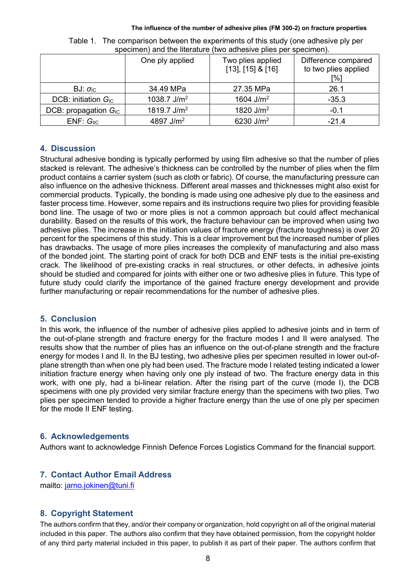|                           | One ply applied         | Two plies applied<br>$[13]$ , $[15]$ & $[16]$ | Difference compared<br>to two plies applied<br>[%] |
|---------------------------|-------------------------|-----------------------------------------------|----------------------------------------------------|
| BJ: $\sigma_{IC}$         | 34.49 MPa               | 27.35 MPa                                     | 26.1                                               |
| DCB: initiation $G_{IC}$  | 1038.7 $J/m2$           | 1604 $J/m2$                                   | $-35.3$                                            |
| DCB: propagation $G_{IC}$ | 1819.7 J/m <sup>2</sup> | 1820 $J/m2$                                   | $-0.1$                                             |
| $ENF: G_{\text{IIC}}$     | 4897 $J/m2$             | 6230 $J/m2$                                   | $-21.4$                                            |

Table 1. The comparison between the experiments of this study (one adhesive ply per specimen) and the literature (two adhesive plies per specimen).

# 4. Discussion

Structural adhesive bonding is typically performed by using film adhesive so that the number of plies stacked is relevant. The adhesive's thickness can be controlled by the number of plies when the film product contains a carrier system (such as cloth or fabric). Of course, the manufacturing pressure can also influence on the adhesive thickness. Different areal masses and thicknesses might also exist for commercial products. Typically, the bonding is made using one adhesive ply due to the easiness and faster process time. However, some repairs and its instructions require two plies for providing feasible bond line. The usage of two or more plies is not a common approach but could affect mechanical durability. Based on the results of this work, the fracture behaviour can be improved when using two adhesive plies. The increase in the initiation values of fracture energy (fracture toughness) is over 20 percent for the specimens of this study. This is a clear improvement but the increased number of plies has drawbacks. The usage of more plies increases the complexity of manufacturing and also mass of the bonded joint. The starting point of crack for both DCB and ENF tests is the initial pre-existing crack. The likelihood of pre-existing cracks in real structures, or other defects, in adhesive joints should be studied and compared for joints with either one or two adhesive plies in future. This type of future study could clarify the importance of the gained fracture energy development and provide further manufacturing or repair recommendations for the number of adhesive plies.

# 5. Conclusion

In this work, the influence of the number of adhesive plies applied to adhesive joints and in term of the out-of-plane strength and fracture energy for the fracture modes I and II were analysed. The results show that the number of plies has an influence on the out-of-plane strength and the fracture energy for modes I and II. In the BJ testing, two adhesive plies per specimen resulted in lower out-ofplane strength than when one ply had been used. The fracture mode I related testing indicated a lower initiation fracture energy when having only one ply instead of two. The fracture energy data in this work, with one ply, had a bi-linear relation. After the rising part of the curve (mode I), the DCB specimens with one ply provided very similar fracture energy than the specimens with two plies. Two plies per specimen tended to provide a higher fracture energy than the use of one ply per specimen for the mode II ENF testing.

# 6. Acknowledgements

Authors want to acknowledge Finnish Defence Forces Logistics Command for the financial support.

# 7. Contact Author Email Address

mailto: jarno.jokinen@tuni.fi

# 8. Copyright Statement

The authors confirm that they, and/or their company or organization, hold copyright on all of the original material included in this paper. The authors also confirm that they have obtained permission, from the copyright holder of any third party material included in this paper, to publish it as part of their paper. The authors confirm that